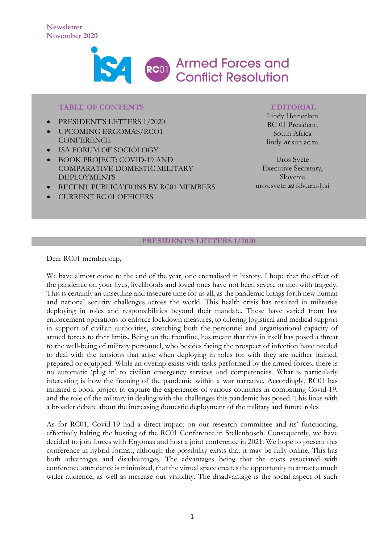

#### **TABLE OF CONTENTS**

- PRESIDENT'S LETTERS 1/2020
- UPCOMING ERGOMAS/RCO1 **CONFERENCE**
- ISA FORUM OF SOCIOLOGY
- BOOK PROJECT: COVID-19 AND COMPARATIVE DOMESTIC MILITARY DEPLOYMENTS
- RECENT PUBLICATIONS BY RC01 MEMBERS
- CURRENT RC 01 OFFICERS

#### **EDITORIAL**

Lindy Heinecken RC 01 President, South Africa lindy **at** sun.ac.za

Uros Svete Executive Secretary, Slovenia uros.svete **at** fdv.uni-lj.si

#### **PRESIDENT'S LETTERS 1/2020**

Dear RC01 membership,

We have almost come to the end of the year, one eternalised in history. I hope that the effect of the pandemic on your lives, livelihoods and loved ones have not been severe or met with tragedy. This is certainly an unsettling and insecure time for us all, as the pandemic brings forth new human and national security challenges across the world. This health crisis has resulted in militaries deploying in roles and responsibilities beyond their mandate. These have varied from law enforcement operations to enforce lockdown measures, to offering logistical and medical support in support of civilian authorities, stretching both the personnel and organisational capacity of armed forces to their limits. Being on the frontline, has meant that this in itself has posed a threat to the well-being of military personnel, who besides facing the prospect of infection have needed to deal with the tensions that arise when deploying in roles for with they are neither trained, prepared or equipped. While an overlap exists with tasks performed by the armed forces, there is no automatic 'plug in' to civilian emergency services and competencies. What is particularly interesting is how the framing of the pandemic within a war narrative. Accordingly, RC01 has initiated a book project to capture the experiences of various countries in combatting Covid-19, and the role of the military in dealing with the challenges this pandemic has posed. This links with a broader debate about the increasing domestic deployment of the military and future roles

As for RC01, Covid-19 had a direct impact on our research committee and its' functioning, effectively halting the hosting of the RC01 Conference in Stellenbosch. Consequently, we have decided to join forces with Ergomas and host a joint conference in 2021. We hope to present this conference in hybrid format, although the possibility exists that it may be fully online. This has both advantages and disadvantages. The advantages being that the costs associated with conference attendance is minimized, that the virtual space creates the opportunity to attract a much wider audience, as well as increase our visibility. The disadvantage is the social aspect of such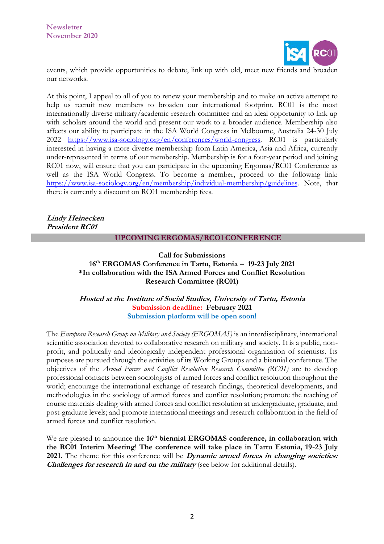

events, which provide opportunities to debate, link up with old, meet new friends and broaden our networks.

At this point, I appeal to all of you to renew your membership and to make an active attempt to help us recruit new members to broaden our international footprint. RC01 is the most internationally diverse military/academic research committee and an ideal opportunity to link up with scholars around the world and present our work to a broader audience. Membership also affects our ability to participate in the ISA World Congress in Melbourne, Australia 24-30 July 2022 [https://www.isa-sociology.org/en/conferences/world-congress.](https://www.isa-sociology.org/en/conferences/world-congress) RC01 is particularly interested in having a more diverse membership from Latin America, Asia and Africa, currently under-represented in terms of our membership. Membership is for a four-year period and joining RC01 now, will ensure that you can participate in the upcoming Ergomas/RC01 Conference as well as the ISA World Congress. To become a member, proceed to the following link: [https://www.isa-sociology.org/en/membership/individual-membership/guidelines.](https://eur03.safelinks.protection.outlook.com/?url=https%3A%2F%2Fwww.isa-sociology.org%2Fen%2Fmembership%2Findividual-membership%2Fguidelines&data=04%7C01%7C%7C028a97b61f754c4e6fa208d88f9ab28d%7Ca6fa3b030a3c42588433a120dffcd348%7C0%7C0%7C637417241879706149%7CUnknown%7CTWFpbGZsb3d8eyJWIjoiMC4wLjAwMDAiLCJQIjoiV2luMzIiLCJBTiI6Ik1haWwiLCJXVCI6Mn0%3D%7C1000&sdata=lg%2B0sODk0%2BdTbTORrGoYU4L79BB27na1Vks9V2Bi5Es%3D&reserved=0) Note, that there is currently a discount on RC01 membership fees.

**Lindy Heinecken President RC01**

#### **UPCOMING ERGOMAS/RCO1 CONFERENCE**

**Call for Submissions 16th ERGOMAS Conference in Tartu, Estonia – 19-23 July 2021 \*In collaboration with the ISA Armed Forces and Conflict Resolution Research Committee (RC01)**

**Hosted at the Institute of Social Studies, University of Tartu, Estonia Submission deadline: February 2021 Submission platform will be open soon!**

The *European Research Group on Military and Society (ERGOMAS)* is an interdisciplinary, international scientific association devoted to collaborative research on military and society. It is a public, nonprofit, and politically and ideologically independent professional organization of scientists. Its purposes are pursued through the activities of its Working Groups and a biennial conference. The objectives of the *Armed Forces and Conflict Resolution Research Committee (RC01)* are to develop professional contacts between sociologists of armed forces and conflict resolution throughout the world; encourage the international exchange of research findings, theoretical developments, and methodologies in the sociology of armed forces and conflict resolution; promote the teaching of course materials dealing with armed forces and conflict resolution at undergraduate, graduate, and post-graduate levels; and promote international meetings and research collaboration in the field of armed forces and conflict resolution.

We are pleased to announce the 16<sup>th</sup> **biennial ERGOMAS** conference, in collaboration with **the RC01 Interim Meeting**! **The conference will take place in Tartu Estonia, 19-23 July 2021.** The theme for this conference will be **Dynamic armed forces in changing societies: Challenges for research in and on the military** (see below for additional details).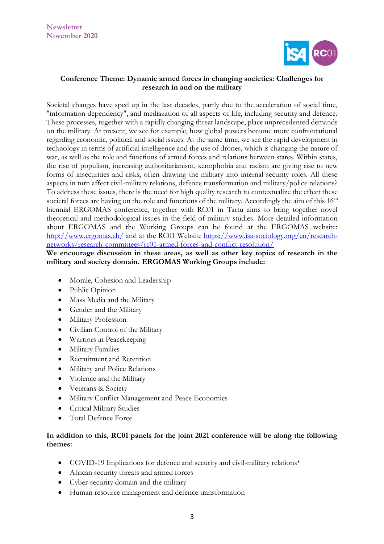

# **Conference Theme: Dynamic armed forces in changing societies: Challenges for research in and on the military**

Societal changes have sped up in the last decades, partly due to the acceleration of social time, "information dependency", and mediazation of all aspects of life, including security and defence. These processes, together with a rapidly changing threat landscape, place unprecedented demands on the military. At present, we see for example, how global powers become more confrontational regarding economic, political and social issues. At the same time, we see the rapid development in technology in terms of artificial intelligence and the use of drones, which is changing the nature of war, as well as the role and functions of armed forces and relations between states. Within states, the rise of populism, increasing authoritarianism, xenophobia and racism are giving rise to new forms of insecurities and risks, often drawing the military into internal security roles. All these aspects in turn affect civil-military relations, defence transformation and military/police relations? To address these issues, there is the need for high quality research to contextualize the effect these societal forces are having on the role and functions of the military. Accordingly the aim of this  $16<sup>th</sup>$ biennial ERGOMAS conference, together with RC01 in Tartu aims to bring together novel theoretical and methodological issues in the field of military studies. More detailed information about ERGOMAS and the Working Groups can be found at the ERGOMAS website: <http://www.ergomas.ch/> and at the RC01 Website [https://www.isa-sociology.org/en/research](https://www.isa-sociology.org/en/research-networks/research-committees/rc01-armed-forces-and-conflict-resolution/)[networks/research-committees/rc01-armed-forces-and-conflict-resolution/](https://www.isa-sociology.org/en/research-networks/research-committees/rc01-armed-forces-and-conflict-resolution/) 

## **We encourage discussion in these areas, as well as other key topics of research in the military and society domain. ERGOMAS Working Groups include:**

- Morale, Cohesion and Leadership
- Public Opinion
- Mass Media and the Military
- Gender and the Military
- Military Profession
- Civilian Control of the Military
- Warriors in Peacekeeping
- Military Families
- Recruitment and Retention
- Military and Police Relations
- Violence and the Military
- Veterans & Society
- Military Conflict Management and Peace Economics
- Critical Military Studies
- Total Defence Force

## **In addition to this, RC01 panels for the joint 2021 conference will be along the following themes:**

- COVID-19 Implications for defence and security and civil-military relations\*
- African security threats and armed forces
- Cyber-security domain and the military
- Human resource management and defence transformation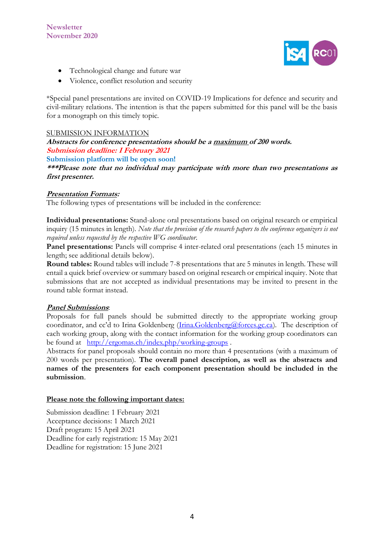

- Technological change and future war
- Violence, conflict resolution and security

\*Special panel presentations are invited on COVID-19 Implications for defence and security and civil-military relations. The intention is that the papers submitted for this panel will be the basis for a monograph on this timely topic.

## SUBMISSION INFORMATION

**Abstracts for conference presentations should be a maximum of 200 words. Submission deadline: I February 2021 Submission platform will be open soon!**

**\*\*\*Please note that no individual may participate with more than two presentations as first presenter.**

## **Presentation Formats:**

The following types of presentations will be included in the conference:

**Individual presentations:** Stand-alone oral presentations based on original research or empirical inquiry (15 minutes in length). *Note that the provision of the research papers to the conference organizers is not required unless requested by the respective WG coordinator*.

**Panel presentations:** Panels will comprise 4 inter-related oral presentations (each 15 minutes in length; see additional details below).

**Round tables:** Round tables will include 7-8 presentations that are 5 minutes in length. These will entail a quick brief overview or summary based on original research or empirical inquiry. Note that submissions that are not accepted as individual presentations may be invited to present in the round table format instead.

## **Panel Submissions**:

Proposals for full panels should be submitted directly to the appropriate working group coordinator, and cc'd to Irina Goldenberg ([Irina.Goldenberg@forces.gc.ca\)](mailto:Irina.Goldenberg@forces.gc.ca). The description of each working group, along with the contact information for the working group coordinators can be found at <http://ergomas.ch/index.php/working-groups> .

Abstracts for panel proposals should contain no more than 4 presentations (with a maximum of 200 words per presentation). **The overall panel description, as well as the abstracts and names of the presenters for each component presentation should be included in the submission**.

## **Please note the following important dates:**

Submission deadline: 1 February 2021 Acceptance decisions: 1 March 2021 Draft program: 15 April 2021 Deadline for early registration: 15 May 2021 Deadline for registration: 15 June 2021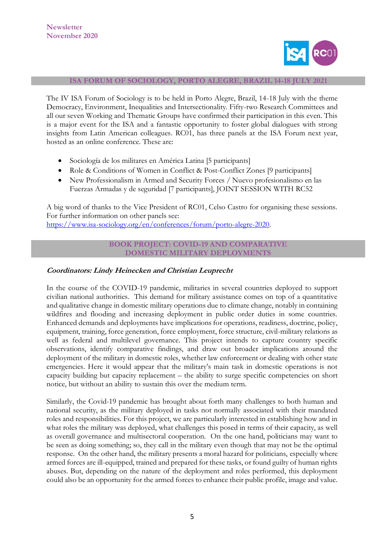

#### **ISA FORUM OF SOCIOLOGY, PORTO ALEGRE, BRAZIL 14-18 JULY 2021**

The IV ISA Forum of Sociology is to be held in Porto Alegre, Brazil, 14-18 July with the theme Democracy, Environment, Inequalities and Intersectionality. Fifty-two Research Committees and all our seven Working and Thematic Groups have confirmed their participation in this even. This is a major event for the ISA and a fantastic opportunity to foster global dialogues with strong insights from Latin American colleagues. RC01, has three panels at the ISA Forum next year, hosted as an online conference. These are:

- Sociología de los militares en América Latina [5 participants]
- Role & Conditions of Women in Conflict & Post-Conflict Zones [9 participants]
- New Professionalism in Armed and Security Forces / Nuevo profesionalismo en las Fuerzas Armadas y de seguridad [7 participants], JOINT SESSION WITH RC52

A big word of thanks to the Vice President of RC01, Celso Castro for organising these sessions. For further information on other panels see: [https://www.isa-sociology.org/en/conferences/forum/porto-alegre-2020.](https://www.isa-sociology.org/en/conferences/forum/porto-alegre-2020)

#### **BOOK PROJECT: COVID-19 AND COMPARATIVE DOMESTIC MILITARY DEPLOYMENTS**

#### **Coordinators: Lindy Heinecken and Christian Leuprecht**

In the course of the COVID-19 pandemic, militaries in several countries deployed to support civilian national authorities. This demand for military assistance comes on top of a quantitative and qualitative change in domestic military operations due to climate change, notably in containing wildfires and flooding and increasing deployment in public order duties in some countries. Enhanced demands and deployments have implications for operations, readiness, doctrine, policy, equipment, training, force generation, force employment, force structure, civil-military relations as well as federal and multilevel governance. This project intends to capture country specific observations, identify comparative findings, and draw out broader implications around the deployment of the military in domestic roles, whether law enforcement or dealing with other state emergencies. Here it would appear that the military's main task in domestic operations is not capacity building but capacity replacement – the ability to surge specific competencies on short notice, but without an ability to sustain this over the medium term.

Similarly, the Covid-19 pandemic has brought about forth many challenges to both human and national security, as the military deployed in tasks not normally associated with their mandated roles and responsibilities. For this project, we are particularly interested in establishing how and in what roles the military was deployed, what challenges this posed in terms of their capacity, as well as overall governance and multisectoral cooperation. On the one hand, politicians may want to be seen as doing something; so, they call in the military even though that may not be the optimal response. On the other hand, the military presents a moral hazard for politicians, especially where armed forces are ill-equipped, trained and prepared for these tasks, or found guilty of human rights abuses. But, depending on the nature of the deployment and roles performed, this deployment could also be an opportunity for the armed forces to enhance their public profile, image and value.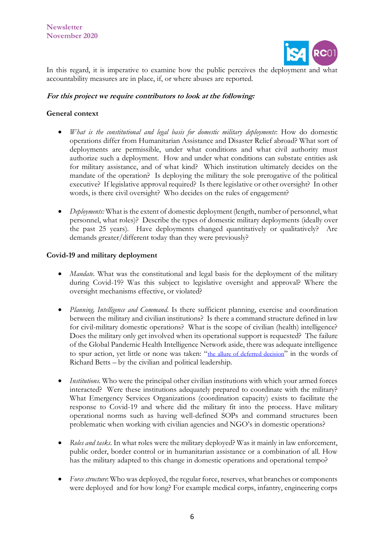

In this regard, it is imperative to examine how the public perceives the deployment and what accountability measures are in place, if, or where abuses are reported.

## **For this project we require contributors to look at the following:**

## **General context**

- *What is the constitutional and legal basis for domestic military deployments*: How do domestic operations differ from Humanitarian Assistance and Disaster Relief abroad? What sort of deployments are permissible, under what conditions and what civil authority must authorize such a deployment. How and under what conditions can substate entities ask for military assistance, and of what kind? Which institution ultimately decides on the mandate of the operation? Is deploying the military the sole prerogative of the political executive? If legislative approval required? Is there legislative or other oversight? In other words, is there civil oversight? Who decides on the rules of engagement?
- *Deployments:* What is the extent of domestic deployment (length, number of personnel, what personnel, what roles)? Describe the types of domestic military deployments (ideally over the past 25 years). Have deployments changed quantitatively or qualitatively? Are demands greater/different today than they were previously?

## **Covid-19 and military deployment**

- *Mandate*. What was the constitutional and legal basis for the deployment of the military during Covid-19? Was this subject to legislative oversight and approval? Where the oversight mechanisms effective, or violated?
- *Planning, Intelligence and Command*. Is there sufficient planning, exercise and coordination between the military and civilian institutions? Is there a command structure defined in law for civil-military domestic operations? What is the scope of civilian (health) intelligence? Does the military only get involved when its operational support is requested? The failure of the Global Pandemic Health Intelligence Network aside, there was adequate intelligence to spur action, yet little or none was taken: "[the allure of deferred decision](https://www.brookings.edu/book/surprise-attack/)" in the words of Richard Betts – by the civilian and political leadership.
- *Institutions*. Who were the principal other civilian institutions with which your armed forces interacted? Were these institutions adequately prepared to coordinate with the military? What Emergency Services Organizations (coordination capacity) exists to facilitate the response to Covid-19 and where did the military fit into the process. Have military operational norms such as having well-defined SOPs and command structures been problematic when working with civilian agencies and NGO's in domestic operations?
- *Roles and tasks*. In what roles were the military deployed? Was it mainly in law enforcement, public order, border control or in humanitarian assistance or a combination of all. How has the military adapted to this change in domestic operations and operational tempo?
- *Force structure*: Who was deployed, the regular force, reserves, what branches or components were deployed and for how long? For example medical corps, infantry, engineering corps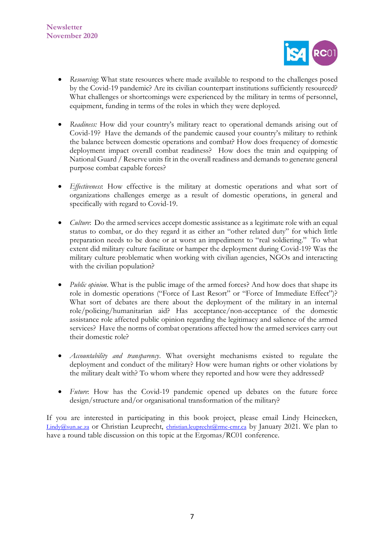

- *Resourcing*: What state resources where made available to respond to the challenges posed by the Covid-19 pandemic? Are its civilian counterpart institutions sufficiently resourced? What challenges or shortcomings were experienced by the military in terms of personnel, equipment, funding in terms of the roles in which they were deployed.
- *Readiness:* How did your country's military react to operational demands arising out of Covid-19? Have the demands of the pandemic caused your country's military to rethink the balance between domestic operations and combat? How does frequency of domestic deployment impact overall combat readiness? How does the train and equipping of National Guard / Reserve units fit in the overall readiness and demands to generate general purpose combat capable forces?
- *Effectiveness*: How effective is the military at domestic operations and what sort of organizations challenges emerge as a result of domestic operations, in general and specifically with regard to Covid-19.
- *Culture*: Do the armed services accept domestic assistance as a legitimate role with an equal status to combat, or do they regard it as either an "other related duty" for which little preparation needs to be done or at worst an impediment to "real soldiering." To what extent did military culture facilitate or hamper the deployment during Covid-19? Was the military culture problematic when working with civilian agencies, NGOs and interacting with the civilian population?
- *Public opinion*. What is the public image of the armed forces? And how does that shape its role in domestic operations ("Force of Last Resort" or "Force of Immediate Effect")? What sort of debates are there about the deployment of the military in an internal role/policing/humanitarian aid? Has acceptance/non-acceptance of the domestic assistance role affected public opinion regarding the legitimacy and salience of the armed services? Have the norms of combat operations affected how the armed services carry out their domestic role?
- *Accountability and transparency*. What oversight mechanisms existed to regulate the deployment and conduct of the military? How were human rights or other violations by the military dealt with? To whom where they reported and how were they addressed?
- *Future*: How has the Covid-19 pandemic opened up debates on the future force design/structure and/or organisational transformation of the military?

If you are interested in participating in this book project, please email Lindy Heinecken, [Lindy@sun.ac.za](mailto:Lindy@sun.ac.za) or Christian Leuprecht, [christian.leuprecht@rmc-cmr.ca](mailto:christian.leuprecht@rmc-cmr.ca) by January 2021. We plan to have a round table discussion on this topic at the Ergomas/RC01 conference.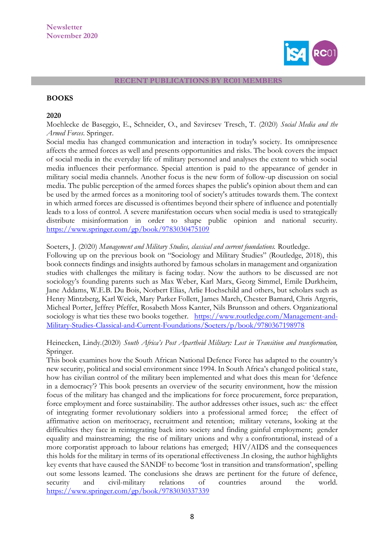

#### **RECENT PUBLICATIONS BY RC01 MEMBERS**

#### **BOOKS**

#### **2020**

Moehlecke de Baseggio, E., Schneider, O., and Szvircsev Tresch, T. (2020) *Social Media and the Armed Forces*. Springer.

Social media has changed communication and interaction in today's society. Its omnipresence affects the armed forces as well and presents opportunities and risks. The book covers the impact of social media in the everyday life of military personnel and analyses the extent to which social media influences their performance. Special attention is paid to the appearance of gender in military social media channels. Another focus is the new form of follow-up discussion on social media. The public perception of the armed forces shapes the public's opinion about them and can be used by the armed forces as a monitoring tool of society's attitudes towards them. The context in which armed forces are discussed is oftentimes beyond their sphere of influence and potentially leads to a loss of control. A severe manifestation occurs when social media is used to strategically distribute misinformation in order to shape public opinion and national security. <https://www.springer.com/gp/book/9783030475109>

#### Soeters, J. (2020) *Management and Military Studies, classical and current foundations.* Routledge.

Following up on the previous book on "Sociology and Military Studies" (Routledge, 2018), this book connects findings and insights authored by famous scholars in management and organization studies with challenges the military is facing today. Now the authors to be discussed are not sociology's founding parents such as Max Weber, Karl Marx, Georg Simmel, Emile Durkheim, Jane Addams, W.E.B. Du Bois, Norbert Elias, Arlie Hochschild and others, but scholars such as Henry Mintzberg, Karl Weick, Mary Parker Follett, James March, Chester Barnard, Chris Argyris, Micheal Porter, Jeffrey Pfeffer, Rosabeth Moss Kanter, Nils Brunsson and others. Organizational sociology is what ties these two books together. [https://www.routledge.com/Management-and-](https://www.routledge.com/Management-and-Military-Studies-Classical-and-Current-Foundations/Soeters/p/book/9780367198978)[Military-Studies-Classical-and-Current-Foundations/Soeters/p/book/9780367198978](https://www.routledge.com/Management-and-Military-Studies-Classical-and-Current-Foundations/Soeters/p/book/9780367198978)

## Heinecken, Lindy.(2020) *South Africa's Post Apartheid Military: Lost in Transition and transformation,* Springer.

This book examines how the South African National Defence Force has adapted to the country's new security, political and social environment since 1994. In South Africa's changed political state, how has civilian control of the military been implemented and what does this mean for 'defence in a democracy'? This book presents an overview of the security environment, how the mission focus of the military has changed and the implications for force procurement, force preparation, force employment and force sustainability. The author addresses other issues, such as: the effect of integrating former revolutionary soldiers into a professional armed force; the effect of affirmative action on meritocracy, recruitment and retention; military veterans, looking at the difficulties they face in reintegrating back into society and finding gainful employment; gender equality and mainstreaming; the rise of military unions and why a confrontational, instead of a more corporatist approach to labour relations has emerged; HIV/AIDS and the consequences this holds for the military in terms of its operational effectiveness .In closing, the author highlights key events that have caused the SANDF to become 'lost in transition and transformation', spelling out some lessons learned. The conclusions she draws are pertinent for the future of defence, security and civil-military relations of countries around the world. <https://www.springer.com/gp/book/9783030337339>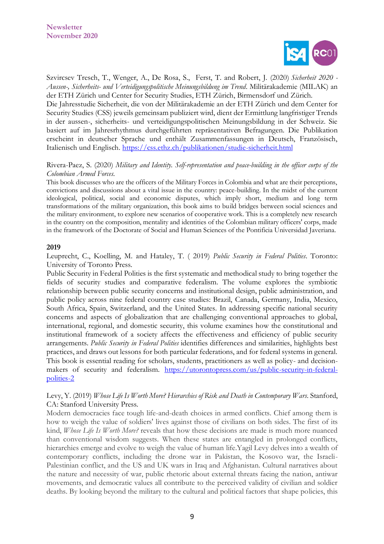

Szvircsev Tresch, T., Wenger, A., De Rosa, S., Ferst, T. and Robert, J. (2020) *Sicherheit 2020 - Aussen-, Sicherheits- und Verteidigungspolitische Meinungsbildung im Trend*. Militärakademie (MILAK) an der ETH Zürich und Center for Security Studies, ETH Zürich, Birmensdorf und Zürich.

Die Jahresstudie Sicherheit, die von der Militärakademie an der ETH Zürich und dem Center for Security Studies (CSS) jeweils gemeinsam publiziert wird, dient der Ermittlung langfristiger Trends in der aussen-, sicherheits- und verteidigungspolitischen Meinungsbildung in der Schweiz. Sie basiert auf im Jahresrhythmus durchgeführten repräsentativen Befragungen. Die Publikation erscheint in deutscher Sprache und enthält Zusammenfassungen in Deutsch, Französisch, Italienisch und Englisch.<https://css.ethz.ch/publikationen/studie-sicherheit.html>

### Rivera-Paez, S. (2020) *Military and Identity. Self-representation and peace-building in the officer corps of the Colombian Armed Forces.*

This book discusses who are the officers of the Military Forces in Colombia and what are their perceptions, convictions and discussions about a vital issue in the country: peace-building. In the midst of the current ideological, political, social and economic disputes, which imply short, medium and long term transformations of the military organization, this book aims to build bridges between social sciences and the military environment, to explore new scenarios of cooperative work. This is a completely new research in the country on the composition, mentality and identities of the Colombian military officers' corps, made in the framework of the Doctorate of Social and Human Sciences of the Pontificia Universidad Javeriana.

#### **2019**

Leuprecht, C., Koelling, M. and Hataley, T. ( 2019) *[Public Security in Federal Polities](https://utorontopress.com/ca/public-security-in-federal-polities-2)*. Toronto: University of Toronto Press.

Public Security in Federal Polities is the first systematic and methodical study to bring together the fields of security studies and comparative federalism. The volume explores the symbiotic relationship between public security concerns and institutional design, public administration, and public policy across nine federal country case studies: Brazil, Canada, Germany, India, Mexico, South Africa, Spain, Switzerland, and the United States. In addressing specific national security concerns and aspects of globalization that are challenging conventional approaches to global, international, regional, and domestic security, this volume examines how the constitutional and institutional framework of a society affects the effectiveness and efficiency of public security arrangements. *Public Security in Federal Polities* identifies differences and similarities, highlights best practices, and draws out lessons for both particular federations, and for federal systems in general. This book is essential reading for scholars, students, practitioners as well as policy- and decisionmakers of security and federalism. [https://utorontopress.com/us/public-security-in-federal](https://utorontopress.com/us/public-security-in-federal-polities-2)[polities-2](https://utorontopress.com/us/public-security-in-federal-polities-2)

## Levy, Y. (2019) *Whose Life Is Worth More? Hierarchies of Risk and Death in Contemporary Wars*. Stanford, CA: Stanford University Press.

Modern democracies face tough life-and-death choices in armed conflicts. Chief among them is how to weigh the value of soldiers' lives against those of civilians on both sides. The first of its kind, *Whose Life Is Worth More?* reveals that how these decisions are made is much more nuanced than conventional wisdom suggests. When these states are entangled in prolonged conflicts, hierarchies emerge and evolve to weigh the value of human life.Yagil Levy delves into a wealth of contemporary conflicts, including the drone war in Pakistan, the Kosovo war, the Israeli-Palestinian conflict, and the US and UK wars in Iraq and Afghanistan. Cultural narratives about the nature and necessity of war, public rhetoric about external threats facing the nation, antiwar movements, and democratic values all contribute to the perceived validity of civilian and soldier deaths. By looking beyond the military to the cultural and political factors that shape policies, this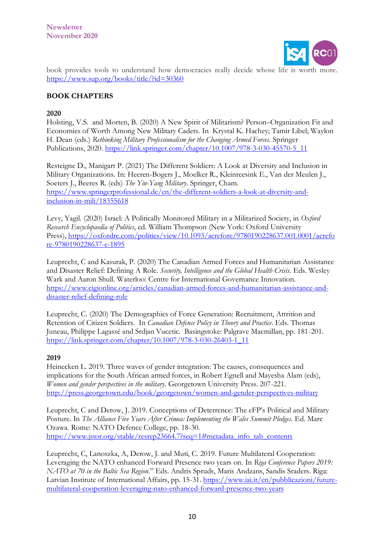

book provides tools to understand how democracies really decide whose life is worth more. <https://www.sup.org/books/title/?id=30360>

# **BOOK CHAPTERS**

## **2020**

[Holsting, V.S.](https://eur03.safelinks.protection.outlook.com/?url=https%3A%2F%2Fpure.fak.dk%2Fda%2Fpersons%2Fvilhelm-stefan-holsting(d26b2669-c0a8-4cc1-9fc5-159535bec5cc).html&data=02%7C01%7C%7C6ae1faff38394a7728ca08d8642ed44e%7Ca6fa3b030a3c42588433a120dffcd348%7C0%7C0%7C637369500512023220&sdata=OTUlGIYu5eYreIrWn39LzAOnUnbAh8Vw2WsQ0kvsLrI%3D&reserved=0) and Morten, B. (2020) [A New Spirit of Militarism? Person](https://eur03.safelinks.protection.outlook.com/?url=https%3A%2F%2Fpure.fak.dk%2Fda%2Fpublications%2Fa-new-spirit-of-militarism-personorganization-fit-and-economies-of-worth-among-new-military-cadets(88de2f52-7966-4194-b152-af9d414d7ce4).html&data=02%7C01%7C%7C6ae1faff38394a7728ca08d8642ed44e%7Ca6fa3b030a3c42588433a120dffcd348%7C0%7C0%7C637369500512023220&sdata=ikfUIKsD3v1gwg0UOsxyT6zqGn583V9AuEps%2FjyFIxg%3D&reserved=0)–Organization Fit and [Economies of Worth Among New Military Cadets.](https://eur03.safelinks.protection.outlook.com/?url=https%3A%2F%2Fpure.fak.dk%2Fda%2Fpublications%2Fa-new-spirit-of-militarism-personorganization-fit-and-economies-of-worth-among-new-military-cadets(88de2f52-7966-4194-b152-af9d414d7ce4).html&data=02%7C01%7C%7C6ae1faff38394a7728ca08d8642ed44e%7Ca6fa3b030a3c42588433a120dffcd348%7C0%7C0%7C637369500512023220&sdata=ikfUIKsD3v1gwg0UOsxyT6zqGn583V9AuEps%2FjyFIxg%3D&reserved=0) In Krystal K. Hachey; Tamir Libel; Waylon H. Dean (eds.) *Rethinking Military Professionalism for the Changing Armed Forces*. Springer Publications, 2020. [https://link.springer.com/chapter/10.1007/978-3-030-45570-5\\_11](https://link.springer.com/chapter/10.1007/978-3-030-45570-5_11)

Resteigne D., Manigart P. (2021) The Different Soldiers: A Look at Diversity and Inclusion in Military Organizations. In: Heeren-Bogers J., Moelker R., Kleinreesink E., Van der Meulen J., Soeters J., Beeres R. (eds) *The Yin-Yang Military*. Springer, Cham. [https://www.springerprofessional.de/en/the-different-soldiers-a-look-at-diversity-and](https://www.springerprofessional.de/en/the-different-soldiers-a-look-at-diversity-and-inclusion-in-mili/18355618)[inclusion-in-mili/18355618](https://www.springerprofessional.de/en/the-different-soldiers-a-look-at-diversity-and-inclusion-in-mili/18355618)

Levy, Yagil. (2020) Israel: A Politically Monitored Military in a Militarized Society, in *Oxford Research Encyclopaedia of Politics*, ed. William Thompson (New York: Oxford University Press), [https://oxfordre.com/politics/view/10.1093/acrefore/9780190228637.001.0001/acrefo](https://eur03.safelinks.protection.outlook.com/?url=https%3A%2F%2Foxfordre.com%2Fpolitics%2Fview%2F10.1093%2Facrefore%2F9780190228637.001.0001%2Facrefore-9780190228637-e-1895&data=02%7C01%7C%7C4db82c285fc74b43e15b08d85f06d93c%7Ca6fa3b030a3c42588433a120dffcd348%7C0%7C0%7C637363830328272172&sdata=vYuCca3magmBhivWPkyCvf06jPBBmsE%2FFXLyT1qmyAM%3D&reserved=0) [re-9780190228637-e-1895](https://eur03.safelinks.protection.outlook.com/?url=https%3A%2F%2Foxfordre.com%2Fpolitics%2Fview%2F10.1093%2Facrefore%2F9780190228637.001.0001%2Facrefore-9780190228637-e-1895&data=02%7C01%7C%7C4db82c285fc74b43e15b08d85f06d93c%7Ca6fa3b030a3c42588433a120dffcd348%7C0%7C0%7C637363830328272172&sdata=vYuCca3magmBhivWPkyCvf06jPBBmsE%2FFXLyT1qmyAM%3D&reserved=0)

Leuprecht, C and Kasurak, P. (2020) [The Canadian Armed Forces and Humanitarian Assistance](https://www.cigionline.org/articles/canadian-armed-forces-and-humanitarian-assistance-and-disaster-relief-defining-role)  [and Disaster Relief: Defining A Role.](https://www.cigionline.org/articles/canadian-armed-forces-and-humanitarian-assistance-and-disaster-relief-defining-role) *Security, Intelligence and the Global Health Crisis*. Eds. Wesley Wark and Aaron Shull. Waterloo: Centre for International Governance Innovation. [https://www.cigionline.org/articles/canadian-armed-forces-and-humanitarian-assistance-and](https://www.cigionline.org/articles/canadian-armed-forces-and-humanitarian-assistance-and-disaster-relief-defining-role)[disaster-relief-defining-role](https://www.cigionline.org/articles/canadian-armed-forces-and-humanitarian-assistance-and-disaster-relief-defining-role)

Leuprecht, C. (2020) [The Demographics of Force Generation: Recruitment, Attrition and](https://www.palgrave.com/gp/book/9783030264024)  [Retention of Citizen Soldiers.](https://www.palgrave.com/gp/book/9783030264024) In *Canadian Defence Policy in Theory and Practice*. Eds. Thomas Juneau, Philippe Lagassé and Srdjan Vucetic. Basingstoke: Palgrave Macmillan, pp. 181-201. [https://link.springer.com/chapter/10.1007/978-3-030-26403-1\\_11](https://link.springer.com/chapter/10.1007/978-3-030-26403-1_11)

## **2019**

Heinecken L. 2019. Three waves of gender integration: The causes, consequences and implications for the South African armed forces, in Robert Egnell and Mayesha Alam (eds), *Women and gender perspectives in the military*. Georgetown University Press. 207-221. <http://press.georgetown.edu/book/georgetown/women-and-gender-perspectives-military>

Leuprecht, C and Derow, J. 2019. [Conceptions of Deterrence: The eFP's Political and Military](http://www.ndc.nato.int/news/news.php?icode=1406)  [Posture.](http://www.ndc.nato.int/news/news.php?icode=1406) In *The Alliance Five Years After Crimea: Implementing the Wales Summit Pledges*. Ed. Marc Ozawa. Rome: NATO Defence College, pp. 18-30. [https://www.jstor.org/stable/resrep23664.7?seq=1#metadata\\_info\\_tab\\_contents](https://www.jstor.org/stable/resrep23664.7?seq=1#metadata_info_tab_contents)

Leuprecht, C, Lanoszka, A, Derow, J. and Muti, C. 2019. [Future Multilateral Cooperation:](https://stellenbosch-my.sharepoint.com/Users/CL/Downloads/the-riga-conference-papers-2019-nato-at-70-in-the-baltic-sea-region-read-in-english.pdf)  [Leveraging the NATO enhanced Forward Presence two years on.](https://stellenbosch-my.sharepoint.com/Users/CL/Downloads/the-riga-conference-papers-2019-nato-at-70-in-the-baltic-sea-region-read-in-english.pdf) In *Riga Conference Papers 2019: NATO at 70 in the Baltic Sea Region*." Eds. Andris Spruds, Maris Andzans, Sandis Sraders. Riga: Latvian Institute of International Affairs, pp. 15-31. [https://www.iai.it/en/pubblicazioni/future](https://www.iai.it/en/pubblicazioni/future-multilateral-cooperation-leveraging-nato-enhanced-forward-presence-two-years)[multilateral-cooperation-leveraging-nato-enhanced-forward-presence-two-years](https://www.iai.it/en/pubblicazioni/future-multilateral-cooperation-leveraging-nato-enhanced-forward-presence-two-years)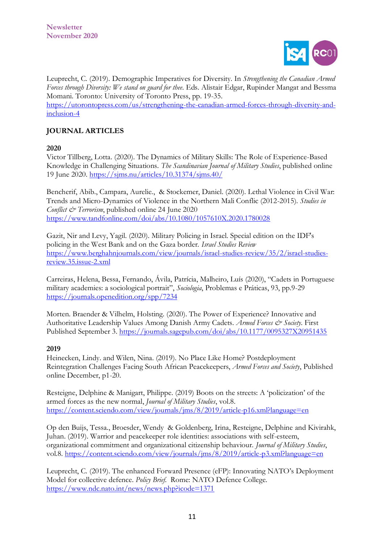

Leuprecht, C. (2019). [Demographic Imperatives for Diversity.](https://utorontopress.com/ca/strengthening-the-canadian-armed-forces-through-diversity-and-inclusion-4) In *Strengthening the Canadian Armed Forces through Diversity: We stand on guard for thee*. Eds. Alistair Edgar, Rupinder Mangat and Bessma Momani. Toronto: University of Toronto Press, pp. 19-35. [https://utorontopress.com/us/strengthening-the-canadian-armed-forces-through-diversity-and](https://utorontopress.com/us/strengthening-the-canadian-armed-forces-through-diversity-and-inclusion-4)[inclusion-4](https://utorontopress.com/us/strengthening-the-canadian-armed-forces-through-diversity-and-inclusion-4)

# **JOURNAL ARTICLES**

**2020**

Victor Tillberg, Lotta. (2020). The Dynamics of Military Skills: The Role of Experience-Based Knowledge in Challenging Situations. *The Scandinavian Journal of Military Studies*, published online 19 June 2020. <https://sjms.nu/articles/10.31374/sjms.40/>

Bencherif, Abib., Campara, Aurelie., & Stockemer, Daniel. (2020). Lethal Violence in Civil War: Trends and Micro-Dynamics of Violence in the Northern Mali Conflic (2012-2015). *Studies in Conflict & Terrorism*, published online 24 June 2020 <https://www.tandfonline.com/doi/abs/10.1080/1057610X.2020.1780028>

Gazit, Nir and Levy, Yagil. (2020). Military Policing in Israel. Special edition on the IDF's policing in the West Bank and on the Gaza border. *Israel Studies Review* [https://www.berghahnjournals.com/view/journals/israel-studies-review/35/2/israel-studies](https://eur03.safelinks.protection.outlook.com/?url=https%3A%2F%2Fwww.berghahnjournals.com%2Fview%2Fjournals%2Fisrael-studies-review%2F35%2F2%2Fisrael-studies-review.35.issue-2.xml&data=02%7C01%7C%7Cdd723be32d224e0a898d08d869cea94a%7Ca6fa3b030a3c42588433a120dffcd348%7C0%7C0%7C637375683632837470&sdata=CnLedO1GeS357Tpg0hbDdvKe3unUTAikuMk0Kq9ORSk%3D&reserved=0)[review.35.issue-2.xml](https://eur03.safelinks.protection.outlook.com/?url=https%3A%2F%2Fwww.berghahnjournals.com%2Fview%2Fjournals%2Fisrael-studies-review%2F35%2F2%2Fisrael-studies-review.35.issue-2.xml&data=02%7C01%7C%7Cdd723be32d224e0a898d08d869cea94a%7Ca6fa3b030a3c42588433a120dffcd348%7C0%7C0%7C637375683632837470&sdata=CnLedO1GeS357Tpg0hbDdvKe3unUTAikuMk0Kq9ORSk%3D&reserved=0)

Carreiras, Helena, Bessa, Fernando, Ávila, Patrícia, Malheiro, Luís (2020), "Cadets in Portuguese military academies: a sociological portrait", *Sociologia*, Problemas e Práticas, 93, pp.9-29 <https://journals.openedition.org/spp/7234>

Morten. Braender & Vilhelm, Holsting. (2020). The Power of Experience? Innovative and Authoritative Leadership Values Among Danish Army Cadets. *Armed Forces & Society*. First Published September 3.<https://journals.sagepub.com/doi/abs/10.1177/0095327X20951435>

## **2019**

Heinecken, Lindy. and Wilen, Nina. (2019). No Place Like Home? Postdeployment Reintegration Challenges Facing South African Peacekeepers, *Armed Forces and Society*, Published online December, p1-20.

Resteigne, Delphine & Manigart, Philippe. (2019) Boots on the streets: A 'policization' of the armed forces as the new normal, *Journal of Military Studies*, vol.8. <https://content.sciendo.com/view/journals/jms/8/2019/article-p16.xml?language=en>

Op den Buijs, Tessa., Broesder, Wendy & Goldenberg, Irina, Resteigne, Delphine and Kivirahk, Juhan. (2019). Warrior and peacekeeper role identities: associations with self-esteem, organizational commitment and organizational citizenship behaviour. *Journal of Military Studies*, vol.8. <https://content.sciendo.com/view/journals/jms/8/2019/article-p3.xml?language=en>

Leuprecht, C. (2019). [The enhanced Forward Presence \(eFP\):](http://www.ndc.nato.int/news/news.php?icode=1371) Innovating NATO's Deployment [Model for collective defence.](http://www.ndc.nato.int/news/news.php?icode=1371) *Policy Brief*. Rome: NATO Defence College. <https://www.ndc.nato.int/news/news.php?icode=1371>